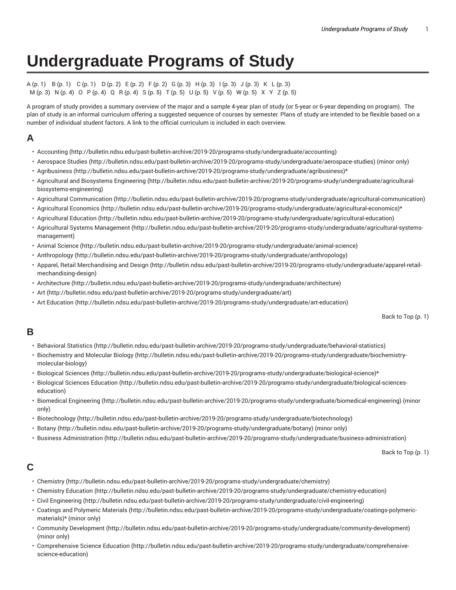# **Undergraduate Programs of Study**

#### A (p. 1) B (p. 1) C (p. 1) D (p. 2) E (p. 2) F (p. 2) G (p. 3) H (p. 3) I (p. 3) J (p. 3) K L (p. 3) M (p. 3) N (p. 4) O P (p. 4) Q R (p. 4) S (p. 5) T (p. 5) U (p. 5) V (p. 5) W (p. 5) X Y Z (p. 5)

A program of study provides a summary overview of the major and a sample 4-year plan of study (or 5-year or 6-year depending on program). The plan of study is an informal curriculum offering a suggested sequence of courses by semester. Plans of study are intended to be flexible based on a number of individual student factors. A link to the official curriculum is included in each overview.

# **A**

- Accounting (http://bulletin.ndsu.edu/past-bulletin-archive/2019-20/programs-study/undergraduate/accounting)
- Aerospace Studies (http://bulletin.ndsu.edu/past-bulletin-archive/2019-20/programs-study/undergraduate/aerospace-studies) (minor only)
- Agribusiness (http://bulletin.ndsu.edu/past-bulletin-archive/2019-20/programs-study/undergraduate/agribusiness)\*
- Agricultural and Biosystems Engineering (http://bulletin.ndsu.edu/past-bulletin-archive/2019-20/programs-study/undergraduate/agriculturalbiosystems-engineering)
- Agricultural Communication (http://bulletin.ndsu.edu/past-bulletin-archive/2019-20/programs-study/undergraduate/agricultural-communication)
- Agricultural Economics (http://bulletin.ndsu.edu/past-bulletin-archive/2019-20/programs-study/undergraduate/agricultural-economics)\*
- Agricultural Education (http://bulletin.ndsu.edu/past-bulletin-archive/2019-20/programs-study/undergraduate/agricultural-education)
- Agricultural Systems Management (http://bulletin.ndsu.edu/past-bulletin-archive/2019-20/programs-study/undergraduate/agricultural-systemsmanagement)
- Animal Science (http://bulletin.ndsu.edu/past-bulletin-archive/2019-20/programs-study/undergraduate/animal-science)
- Anthropology (http://bulletin.ndsu.edu/past-bulletin-archive/2019-20/programs-study/undergraduate/anthropology)
- Apparel, Retail Merchandising and Design (http://bulletin.ndsu.edu/past-bulletin-archive/2019-20/programs-study/undergraduate/apparel-retailmechandising-design)
- Architecture (http://bulletin.ndsu.edu/past-bulletin-archive/2019-20/programs-study/undergraduate/architecture)
- Art (http://bulletin.ndsu.edu/past-bulletin-archive/2019-20/programs-study/undergraduate/art)
- Art Education (http://bulletin.ndsu.edu/past-bulletin-archive/2019-20/programs-study/undergraduate/art-education)

Back to Top (p. 1)

### **B**

- Behavioral Statistics (http://bulletin.ndsu.edu/past-bulletin-archive/2019-20/programs-study/undergraduate/behavioral-statistics)
- Biochemistry and Molecular Biology (http://bulletin.ndsu.edu/past-bulletin-archive/2019-20/programs-study/undergraduate/biochemistrymolecular-biology)
- Biological Sciences (http://bulletin.ndsu.edu/past-bulletin-archive/2019-20/programs-study/undergraduate/biological-science)\*
- Biological Sciences Education (http://bulletin.ndsu.edu/past-bulletin-archive/2019-20/programs-study/undergraduate/biological-scienceseducation)
- Biomedical Engineering (http://bulletin.ndsu.edu/past-bulletin-archive/2019-20/programs-study/undergraduate/biomedical-engineering) (minor only)
- Biotechnology (http://bulletin.ndsu.edu/past-bulletin-archive/2019-20/programs-study/undergraduate/biotechnology)
- Botany (http://bulletin.ndsu.edu/past-bulletin-archive/2019-20/programs-study/undergraduate/botany) (minor only)
- Business Administration (http://bulletin.ndsu.edu/past-bulletin-archive/2019-20/programs-study/undergraduate/business-administration)

Back to Top (p. 1)

### **C**

- Chemistry (http://bulletin.ndsu.edu/past-bulletin-archive/2019-20/programs-study/undergraduate/chemistry)
- Chemistry Education (http://bulletin.ndsu.edu/past-bulletin-archive/2019-20/programs-study/undergraduate/chemistry-education)
- Civil Engineering (http://bulletin.ndsu.edu/past-bulletin-archive/2019-20/programs-study/undergraduate/civil-engineering)
- Coatings and Polymeric Materials (http://bulletin.ndsu.edu/past-bulletin-archive/2019-20/programs-study/undergraduate/coatings-polymericmaterials)\* (minor only)
- Community Development (http://bulletin.ndsu.edu/past-bulletin-archive/2019-20/programs-study/undergraduate/community-development) (minor only)
- Comprehensive Science Education (http://bulletin.ndsu.edu/past-bulletin-archive/2019-20/programs-study/undergraduate/comprehensivescience-education)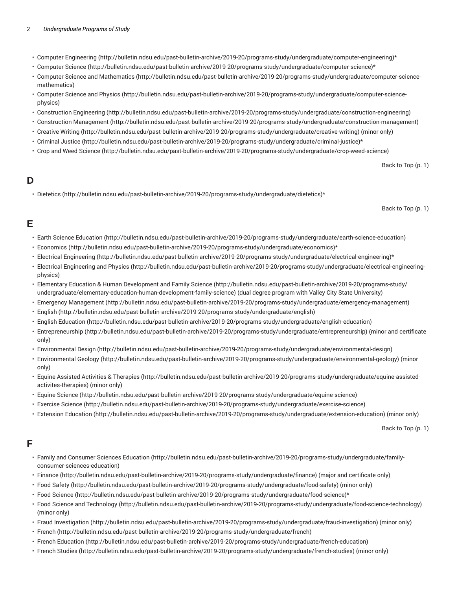#### 2 *Undergraduate Programs of Study*

- Computer Engineering (http://bulletin.ndsu.edu/past-bulletin-archive/2019-20/programs-study/undergraduate/computer-engineering)\*
- Computer Science (http://bulletin.ndsu.edu/past-bulletin-archive/2019-20/programs-study/undergraduate/computer-science)\*
- Computer Science and Mathematics (http://bulletin.ndsu.edu/past-bulletin-archive/2019-20/programs-study/undergraduate/computer-sciencemathematics)
- Computer Science and Physics (http://bulletin.ndsu.edu/past-bulletin-archive/2019-20/programs-study/undergraduate/computer-sciencephysics)
- Construction Engineering (http://bulletin.ndsu.edu/past-bulletin-archive/2019-20/programs-study/undergraduate/construction-engineering)
- Construction Management (http://bulletin.ndsu.edu/past-bulletin-archive/2019-20/programs-study/undergraduate/construction-management)
- Creative Writing (http://bulletin.ndsu.edu/past-bulletin-archive/2019-20/programs-study/undergraduate/creative-writing) (minor only)
- Criminal Justice (http://bulletin.ndsu.edu/past-bulletin-archive/2019-20/programs-study/undergraduate/criminal-justice)\*
- Crop and Weed Science (http://bulletin.ndsu.edu/past-bulletin-archive/2019-20/programs-study/undergraduate/crop-weed-science)

Back to Top (p. 1)

### **D**

• Dietetics (http://bulletin.ndsu.edu/past-bulletin-archive/2019-20/programs-study/undergraduate/dietetics)\*

Back to Top (p. 1)

### **E**

- Earth Science Education (http://bulletin.ndsu.edu/past-bulletin-archive/2019-20/programs-study/undergraduate/earth-science-education)
- Economics (http://bulletin.ndsu.edu/past-bulletin-archive/2019-20/programs-study/undergraduate/economics)\*
- Electrical Engineering (http://bulletin.ndsu.edu/past-bulletin-archive/2019-20/programs-study/undergraduate/electrical-engineering)\*
- Electrical Engineering and Physics (http://bulletin.ndsu.edu/past-bulletin-archive/2019-20/programs-study/undergraduate/electrical-engineeringphysics)
- Elementary Education & Human Development and Family Science (http://bulletin.ndsu.edu/past-bulletin-archive/2019-20/programs-study/ undergraduate/elementary-education-human-development-family-science) (dual degree program with Valley City State University)
- Emergency Management (http://bulletin.ndsu.edu/past-bulletin-archive/2019-20/programs-study/undergraduate/emergency-management)
- English (http://bulletin.ndsu.edu/past-bulletin-archive/2019-20/programs-study/undergraduate/english)
- English Education (http://bulletin.ndsu.edu/past-bulletin-archive/2019-20/programs-study/undergraduate/english-education)
- Entrepreneurship (http://bulletin.ndsu.edu/past-bulletin-archive/2019-20/programs-study/undergraduate/entrepreneurship) (minor and certificate only)
- Environmental Design (http://bulletin.ndsu.edu/past-bulletin-archive/2019-20/programs-study/undergraduate/environmental-design)
- Environmental Geology (http://bulletin.ndsu.edu/past-bulletin-archive/2019-20/programs-study/undergraduate/environmental-geology) (minor only)
- Equine Assisted Activities & Therapies (http://bulletin.ndsu.edu/past-bulletin-archive/2019-20/programs-study/undergraduate/equine-assistedactivites-therapies) (minor only)
- Equine Science (http://bulletin.ndsu.edu/past-bulletin-archive/2019-20/programs-study/undergraduate/equine-science)
- Exercise Science (http://bulletin.ndsu.edu/past-bulletin-archive/2019-20/programs-study/undergraduate/exercise-science)
- Extension Education (http://bulletin.ndsu.edu/past-bulletin-archive/2019-20/programs-study/undergraduate/extension-education) (minor only)

Back to Top (p. 1)

### **F**

- Family and Consumer Sciences Education (http://bulletin.ndsu.edu/past-bulletin-archive/2019-20/programs-study/undergraduate/familyconsumer-sciences-education)
- Finance (http://bulletin.ndsu.edu/past-bulletin-archive/2019-20/programs-study/undergraduate/finance) (major and certificate only)
- Food Safety (http://bulletin.ndsu.edu/past-bulletin-archive/2019-20/programs-study/undergraduate/food-safety) (minor only)
- Food Science (http://bulletin.ndsu.edu/past-bulletin-archive/2019-20/programs-study/undergraduate/food-science)\*
- Food Science and Technology (http://bulletin.ndsu.edu/past-bulletin-archive/2019-20/programs-study/undergraduate/food-science-technology) (minor only)
- Fraud Investigation (http://bulletin.ndsu.edu/past-bulletin-archive/2019-20/programs-study/undergraduate/fraud-investigation) (minor only)
- French (http://bulletin.ndsu.edu/past-bulletin-archive/2019-20/programs-study/undergraduate/french)
- French Education (http://bulletin.ndsu.edu/past-bulletin-archive/2019-20/programs-study/undergraduate/french-education)
- French Studies (http://bulletin.ndsu.edu/past-bulletin-archive/2019-20/programs-study/undergraduate/french-studies) (minor only)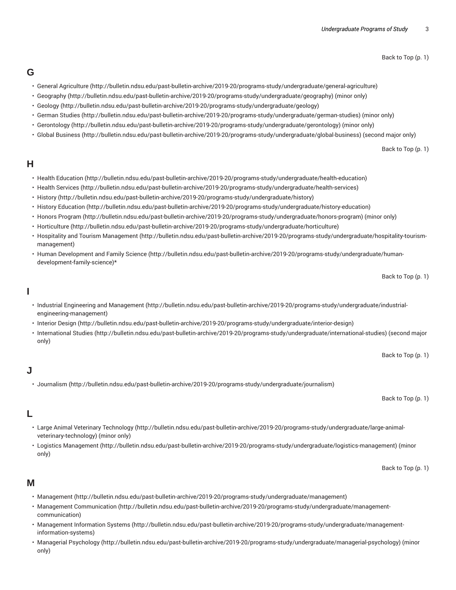Back to Top (p. 1)

### **G**

- General Agriculture (http://bulletin.ndsu.edu/past-bulletin-archive/2019-20/programs-study/undergraduate/general-agriculture)
- Geography (http://bulletin.ndsu.edu/past-bulletin-archive/2019-20/programs-study/undergraduate/geography) (minor only)
- Geology (http://bulletin.ndsu.edu/past-bulletin-archive/2019-20/programs-study/undergraduate/geology)
- German Studies (http://bulletin.ndsu.edu/past-bulletin-archive/2019-20/programs-study/undergraduate/german-studies) (minor only)
- Gerontology (http://bulletin.ndsu.edu/past-bulletin-archive/2019-20/programs-study/undergraduate/gerontology) (minor only)
- Global Business (http://bulletin.ndsu.edu/past-bulletin-archive/2019-20/programs-study/undergraduate/global-business) (second major only)

Back to Top (p. 1)

### **H**

- Health Education (http://bulletin.ndsu.edu/past-bulletin-archive/2019-20/programs-study/undergraduate/health-education)
- Health Services (http://bulletin.ndsu.edu/past-bulletin-archive/2019-20/programs-study/undergraduate/health-services)
- History (http://bulletin.ndsu.edu/past-bulletin-archive/2019-20/programs-study/undergraduate/history)
- History Education (http://bulletin.ndsu.edu/past-bulletin-archive/2019-20/programs-study/undergraduate/history-education)
- Honors Program (http://bulletin.ndsu.edu/past-bulletin-archive/2019-20/programs-study/undergraduate/honors-program) (minor only)
- Horticulture (http://bulletin.ndsu.edu/past-bulletin-archive/2019-20/programs-study/undergraduate/horticulture)
- Hospitality and Tourism Management (http://bulletin.ndsu.edu/past-bulletin-archive/2019-20/programs-study/undergraduate/hospitality-tourismmanagement)
- Human Development and Family Science (http://bulletin.ndsu.edu/past-bulletin-archive/2019-20/programs-study/undergraduate/humandevelopment-family-science)\*

Back to Top (p. 1)

### **I**

- Industrial Engineering and Management (http://bulletin.ndsu.edu/past-bulletin-archive/2019-20/programs-study/undergraduate/industrialengineering-management)
- Interior Design (http://bulletin.ndsu.edu/past-bulletin-archive/2019-20/programs-study/undergraduate/interior-design)
- International Studies (http://bulletin.ndsu.edu/past-bulletin-archive/2019-20/programs-study/undergraduate/international-studies) (second major only)

Back to Top (p. 1)

### **J**

#### • Journalism (http://bulletin.ndsu.edu/past-bulletin-archive/2019-20/programs-study/undergraduate/journalism)

Back to Top (p. 1)

### **L**

- Large Animal Veterinary Technology (http://bulletin.ndsu.edu/past-bulletin-archive/2019-20/programs-study/undergraduate/large-animalveterinary-technology) (minor only)
- Logistics Management (http://bulletin.ndsu.edu/past-bulletin-archive/2019-20/programs-study/undergraduate/logistics-management) (minor only)

Back to Top (p. 1)

### **M**

- Management (http://bulletin.ndsu.edu/past-bulletin-archive/2019-20/programs-study/undergraduate/management)
- Management Communication (http://bulletin.ndsu.edu/past-bulletin-archive/2019-20/programs-study/undergraduate/managementcommunication)
- Management Information Systems (http://bulletin.ndsu.edu/past-bulletin-archive/2019-20/programs-study/undergraduate/managementinformation-systems)
- Managerial Psychology (http://bulletin.ndsu.edu/past-bulletin-archive/2019-20/programs-study/undergraduate/managerial-psychology) (minor only)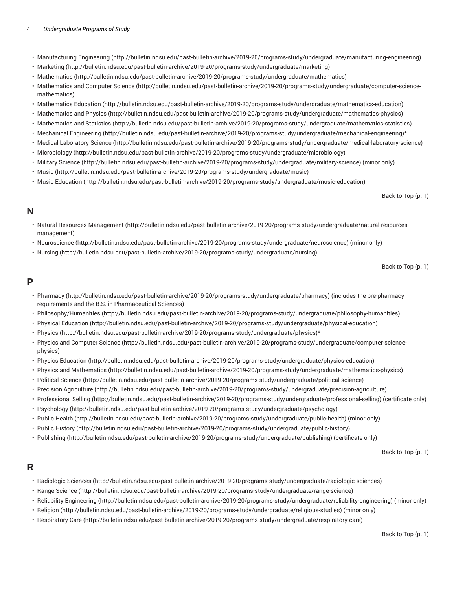#### 4 *Undergraduate Programs of Study*

- Manufacturing Engineering (http://bulletin.ndsu.edu/past-bulletin-archive/2019-20/programs-study/undergraduate/manufacturing-engineering)
- Marketing (http://bulletin.ndsu.edu/past-bulletin-archive/2019-20/programs-study/undergraduate/marketing)
- Mathematics (http://bulletin.ndsu.edu/past-bulletin-archive/2019-20/programs-study/undergraduate/mathematics)
- Mathematics and Computer Science (http://bulletin.ndsu.edu/past-bulletin-archive/2019-20/programs-study/undergraduate/computer-sciencemathematics)
- Mathematics Education (http://bulletin.ndsu.edu/past-bulletin-archive/2019-20/programs-study/undergraduate/mathematics-education)
- Mathematics and Physics (http://bulletin.ndsu.edu/past-bulletin-archive/2019-20/programs-study/undergraduate/mathematics-physics)
- Mathematics and Statistics (http://bulletin.ndsu.edu/past-bulletin-archive/2019-20/programs-study/undergraduate/mathematics-statistics)
- Mechanical Engineering (http://bulletin.ndsu.edu/past-bulletin-archive/2019-20/programs-study/undergraduate/mechanical-engineering)\*
- Medical Laboratory Science (http://bulletin.ndsu.edu/past-bulletin-archive/2019-20/programs-study/undergraduate/medical-laboratory-science)
- Microbiology (http://bulletin.ndsu.edu/past-bulletin-archive/2019-20/programs-study/undergraduate/microbiology)
- Military Science (http://bulletin.ndsu.edu/past-bulletin-archive/2019-20/programs-study/undergraduate/military-science) (minor only)
- Music (http://bulletin.ndsu.edu/past-bulletin-archive/2019-20/programs-study/undergraduate/music)
- Music Education (http://bulletin.ndsu.edu/past-bulletin-archive/2019-20/programs-study/undergraduate/music-education)

Back to Top (p. 1)

### **N**

- Natural Resources Management (http://bulletin.ndsu.edu/past-bulletin-archive/2019-20/programs-study/undergraduate/natural-resourcesmanagement)
- Neuroscience (http://bulletin.ndsu.edu/past-bulletin-archive/2019-20/programs-study/undergraduate/neuroscience) (minor only)
- Nursing (http://bulletin.ndsu.edu/past-bulletin-archive/2019-20/programs-study/undergraduate/nursing)

Back to Top (p. 1)

### **P**

- Pharmacy (http://bulletin.ndsu.edu/past-bulletin-archive/2019-20/programs-study/undergraduate/pharmacy) (includes the pre-pharmacy requirements and the B.S. in Pharmaceutical Sciences)
- Philosophy/Humanities (http://bulletin.ndsu.edu/past-bulletin-archive/2019-20/programs-study/undergraduate/philosophy-humanities)
- Physical Education (http://bulletin.ndsu.edu/past-bulletin-archive/2019-20/programs-study/undergraduate/physical-education)
- Physics (http://bulletin.ndsu.edu/past-bulletin-archive/2019-20/programs-study/undergraduate/physics)\*
- Physics and Computer Science (http://bulletin.ndsu.edu/past-bulletin-archive/2019-20/programs-study/undergraduate/computer-sciencephysics)
- Physics Education (http://bulletin.ndsu.edu/past-bulletin-archive/2019-20/programs-study/undergraduate/physics-education)
- Physics and Mathematics (http://bulletin.ndsu.edu/past-bulletin-archive/2019-20/programs-study/undergraduate/mathematics-physics)
- Political Science (http://bulletin.ndsu.edu/past-bulletin-archive/2019-20/programs-study/undergraduate/political-science)
- Precision Agriculture (http://bulletin.ndsu.edu/past-bulletin-archive/2019-20/programs-study/undergraduate/precision-agriculture)
- Professional Selling (http://bulletin.ndsu.edu/past-bulletin-archive/2019-20/programs-study/undergraduate/professional-selling) (certificate only)
- Psychology (http://bulletin.ndsu.edu/past-bulletin-archive/2019-20/programs-study/undergraduate/psychology)
- Public Health (http://bulletin.ndsu.edu/past-bulletin-archive/2019-20/programs-study/undergraduate/public-health) (minor only)
- Public History (http://bulletin.ndsu.edu/past-bulletin-archive/2019-20/programs-study/undergraduate/public-history)
- Publishing (http://bulletin.ndsu.edu/past-bulletin-archive/2019-20/programs-study/undergraduate/publishing) (certificate only)

Back to Top (p. 1)

### **R**

- Radiologic Sciences (http://bulletin.ndsu.edu/past-bulletin-archive/2019-20/programs-study/undergraduate/radiologic-sciences)
- Range Science (http://bulletin.ndsu.edu/past-bulletin-archive/2019-20/programs-study/undergraduate/range-science)
- Reliability Engineering (http://bulletin.ndsu.edu/past-bulletin-archive/2019-20/programs-study/undergraduate/reliability-engineering) (minor only)
- Religion (http://bulletin.ndsu.edu/past-bulletin-archive/2019-20/programs-study/undergraduate/religious-studies) (minor only)
- Respiratory Care (http://bulletin.ndsu.edu/past-bulletin-archive/2019-20/programs-study/undergraduate/respiratory-care)

Back to Top (p. 1)